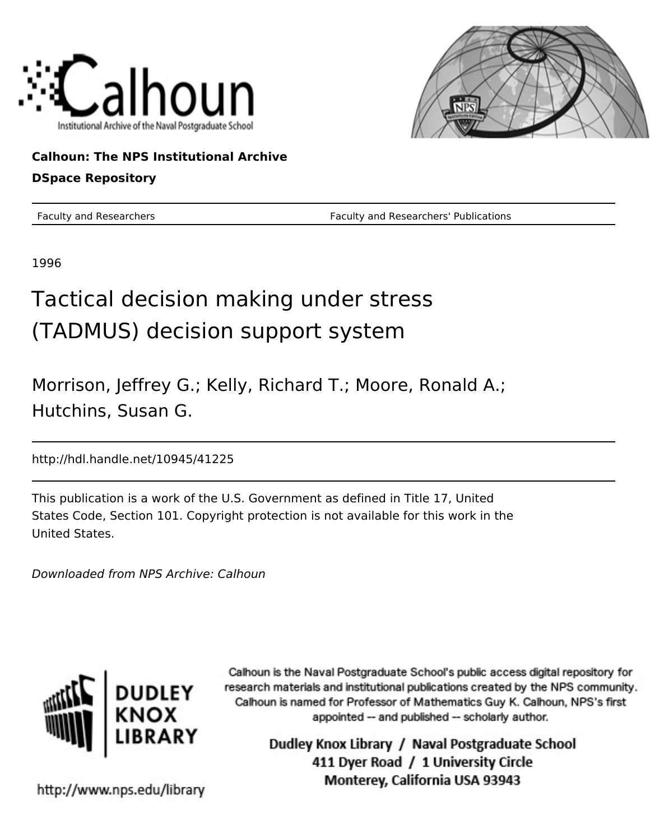



## **Calhoun: The NPS Institutional Archive**

## **DSpace Repository**

Faculty and Researchers Faculty and Researchers' Publications

1996

# Tactical decision making under stress (TADMUS) decision support system

Morrison, Jeffrey G.; Kelly, Richard T.; Moore, Ronald A.; Hutchins, Susan G.

http://hdl.handle.net/10945/41225

This publication is a work of the U.S. Government as defined in Title 17, United States Code, Section 101. Copyright protection is not available for this work in the United States.

Downloaded from NPS Archive: Calhoun



Calhoun is the Naval Postgraduate School's public access digital repository for research materials and institutional publications created by the NPS community. Calhoun is named for Professor of Mathematics Guy K. Calhoun, NPS's first appointed -- and published -- scholarly author.

> Dudley Knox Library / Naval Postgraduate School 411 Dyer Road / 1 University Circle Monterey, California USA 93943

http://www.nps.edu/library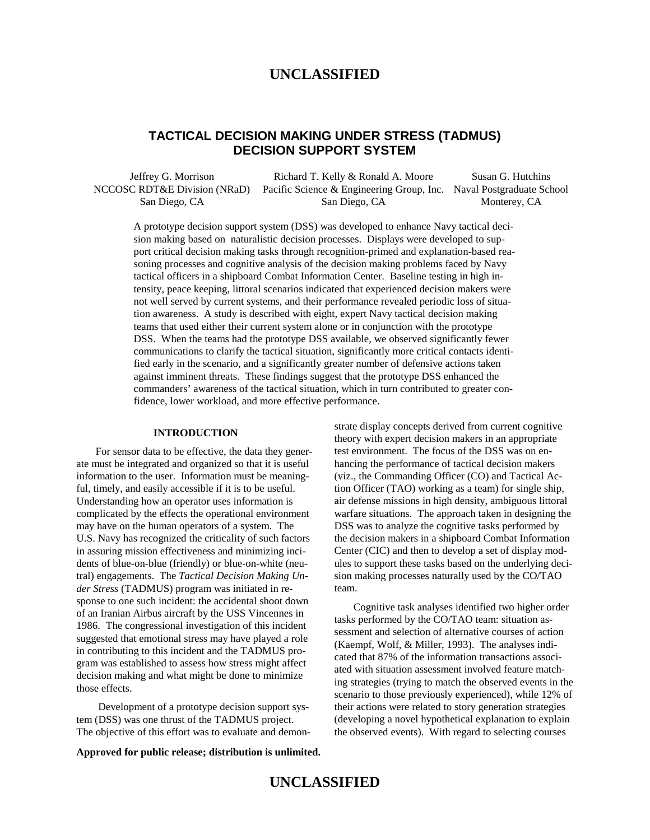## **TACTICAL DECISION MAKING UNDER STRESS (TADMUS) DECISION SUPPORT SYSTEM**

Jeffrey G. Morrison Richard T. Kelly & Ronald A. Moore Susan G. Hutchins NCCOSC RDT&E Division (NRaD) Pacific Science & Engineering Group, Inc. Naval Postgraduate School San Diego, CA San Diego, CA Monterey, CA

A prototype decision support system (DSS) was developed to enhance Navy tactical decision making based on naturalistic decision processes. Displays were developed to support critical decision making tasks through recognition-primed and explanation-based reasoning processes and cognitive analysis of the decision making problems faced by Navy tactical officers in a shipboard Combat Information Center. Baseline testing in high intensity, peace keeping, littoral scenarios indicated that experienced decision makers were not well served by current systems, and their performance revealed periodic loss of situation awareness. A study is described with eight, expert Navy tactical decision making teams that used either their current system alone or in conjunction with the prototype DSS. When the teams had the prototype DSS available, we observed significantly fewer communications to clarify the tactical situation, significantly more critical contacts identified early in the scenario, and a significantly greater number of defensive actions taken against imminent threats. These findings suggest that the prototype DSS enhanced the commanders' awareness of the tactical situation, which in turn contributed to greater confidence, lower workload, and more effective performance.

#### **INTRODUCTION**

For sensor data to be effective, the data they generate must be integrated and organized so that it is useful information to the user. Information must be meaningful, timely, and easily accessible if it is to be useful. Understanding how an operator uses information is complicated by the effects the operational environment may have on the human operators of a system. The U.S. Navy has recognized the criticality of such factors in assuring mission effectiveness and minimizing incidents of blue-on-blue (friendly) or blue-on-white (neutral) engagements. The *Tactical Decision Making Under Stress* (TADMUS) program was initiated in response to one such incident: the accidental shoot down of an Iranian Airbus aircraft by the USS Vincennes in 1986. The congressional investigation of this incident suggested that emotional stress may have played a role in contributing to this incident and the TADMUS program was established to assess how stress might affect decision making and what might be done to minimize those effects.

 Development of a prototype decision support system (DSS) was one thrust of the TADMUS project. The objective of this effort was to evaluate and demonstrate display concepts derived from current cognitive theory with expert decision makers in an appropriate test environment. The focus of the DSS was on enhancing the performance of tactical decision makers (viz., the Commanding Officer (CO) and Tactical Action Officer (TAO) working as a team) for single ship, air defense missions in high density, ambiguous littoral warfare situations. The approach taken in designing the DSS was to analyze the cognitive tasks performed by the decision makers in a shipboard Combat Information Center (CIC) and then to develop a set of display modules to support these tasks based on the underlying decision making processes naturally used by the CO/TAO team.

Cognitive task analyses identified two higher order tasks performed by the CO/TAO team: situation assessment and selection of alternative courses of action (Kaempf, Wolf, & Miller, 1993). The analyses indicated that 87% of the information transactions associated with situation assessment involved feature matching strategies (trying to match the observed events in the scenario to those previously experienced), while 12% of their actions were related to story generation strategies (developing a novel hypothetical explanation to explain the observed events). With regard to selecting courses

**Approved for public release; distribution is unlimited.**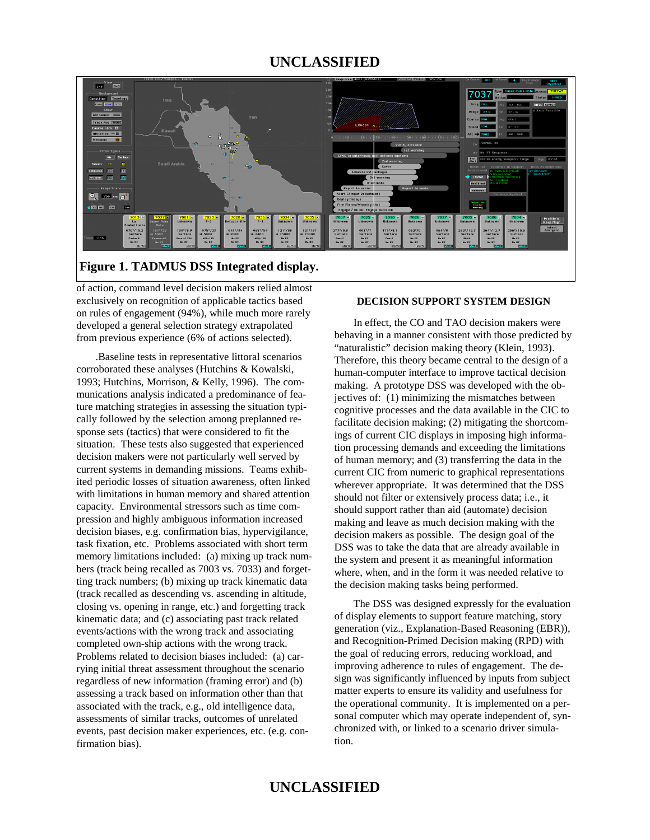

of action, command level decision makers relied almost exclusively on recognition of applicable tactics based on rules of engagement (94%), while much more rarely developed a general selection strategy extrapolated from previous experience (6% of actions selected).

.Baseline tests in representative littoral scenarios corroborated these analyses (Hutchins & Kowalski, 1993; Hutchins, Morrison, & Kelly, 1996). The communications analysis indicated a predominance of feature matching strategies in assessing the situation typically followed by the selection among preplanned response sets (tactics) that were considered to fit the situation. These tests also suggested that experienced decision makers were not particularly well served by current systems in demanding missions. Teams exhibited periodic losses of situation awareness, often linked with limitations in human memory and shared attention capacity. Environmental stressors such as time compression and highly ambiguous information increased decision biases, e.g. confirmation bias, hypervigilance, task fixation, etc. Problems associated with short term memory limitations included: (a) mixing up track numbers (track being recalled as 7003 vs. 7033) and forgetting track numbers; (b) mixing up track kinematic data (track recalled as descending vs. ascending in altitude, closing vs. opening in range, etc.) and forgetting track kinematic data; and (c) associating past track related events/actions with the wrong track and associating completed own-ship actions with the wrong track. Problems related to decision biases included: (a) carrying initial threat assessment throughout the scenario regardless of new information (framing error) and (b) assessing a track based on information other than that associated with the track, e.g., old intelligence data, assessments of similar tracks, outcomes of unrelated events, past decision maker experiences, etc. (e.g. confirmation bias).

#### **DECISION SUPPORT SYSTEM DESIGN**

In effect, the CO and TAO decision makers were behaving in a manner consistent with those predicted by "naturalistic" decision making theory (Klein, 1993). Therefore, this theory became central to the design of a human-computer interface to improve tactical decision making. A prototype DSS was developed with the objectives of: (1) minimizing the mismatches between cognitive processes and the data available in the CIC to facilitate decision making; (2) mitigating the shortcomings of current CIC displays in imposing high information processing demands and exceeding the limitations of human memory; and (3) transferring the data in the current CIC from numeric to graphical representations wherever appropriate. It was determined that the DSS should not filter or extensively process data; i.e., it should support rather than aid (automate) decision making and leave as much decision making with the decision makers as possible. The design goal of the DSS was to take the data that are already available in the system and present it as meaningful information where, when, and in the form it was needed relative to the decision making tasks being performed.

The DSS was designed expressly for the evaluation of display elements to support feature matching, story generation (viz., Explanation-Based Reasoning (EBR)), and Recognition-Primed Decision making (RPD) with the goal of reducing errors, reducing workload, and improving adherence to rules of engagement. The design was significantly influenced by inputs from subject matter experts to ensure its validity and usefulness for the operational community. It is implemented on a personal computer which may operate independent of, synchronized with, or linked to a scenario driver simulation.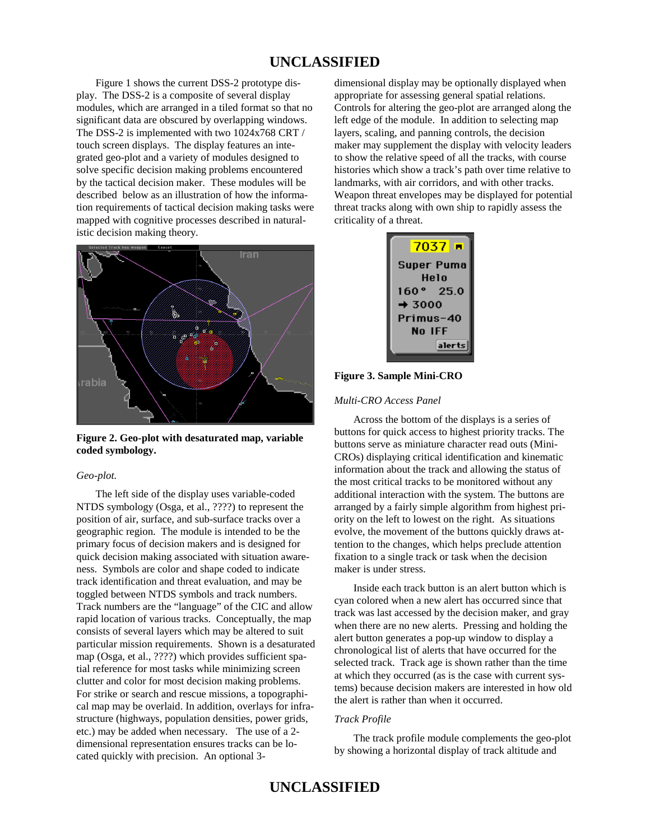Figure 1 shows the current DSS-2 prototype display. The DSS-2 is a composite of several display modules, which are arranged in a tiled format so that no significant data are obscured by overlapping windows. The DSS-2 is implemented with two 1024x768 CRT / touch screen displays. The display features an integrated geo-plot and a variety of modules designed to solve specific decision making problems encountered by the tactical decision maker. These modules will be described below as an illustration of how the information requirements of tactical decision making tasks were mapped with cognitive processes described in naturalistic decision making theory.



**Figure 2. Geo-plot with desaturated map, variable coded symbology.**

#### *Geo-plot.*

The left side of the display uses variable-coded NTDS symbology (Osga, et al., ????) to represent the position of air, surface, and sub-surface tracks over a geographic region. The module is intended to be the primary focus of decision makers and is designed for quick decision making associated with situation awareness. Symbols are color and shape coded to indicate track identification and threat evaluation, and may be toggled between NTDS symbols and track numbers. Track numbers are the "language" of the CIC and allow rapid location of various tracks. Conceptually, the map consists of several layers which may be altered to suit particular mission requirements. Shown is a desaturated map (Osga, et al., ????) which provides sufficient spatial reference for most tasks while minimizing screen clutter and color for most decision making problems. For strike or search and rescue missions, a topographical map may be overlaid. In addition, overlays for infrastructure (highways, population densities, power grids, etc.) may be added when necessary. The use of a 2 dimensional representation ensures tracks can be located quickly with precision. An optional 3dimensional display may be optionally displayed when appropriate for assessing general spatial relations. Controls for altering the geo-plot are arranged along the left edge of the module. In addition to selecting map layers, scaling, and panning controls, the decision maker may supplement the display with velocity leaders to show the relative speed of all the tracks, with course histories which show a track's path over time relative to landmarks, with air corridors, and with other tracks. Weapon threat envelopes may be displayed for potential threat tracks along with own ship to rapidly assess the criticality of a threat.



**Figure 3. Sample Mini-CRO**

#### *Multi-CRO Access Panel*

Across the bottom of the displays is a series of buttons for quick access to highest priority tracks. The buttons serve as miniature character read outs (Mini-CROs) displaying critical identification and kinematic information about the track and allowing the status of the most critical tracks to be monitored without any additional interaction with the system. The buttons are arranged by a fairly simple algorithm from highest priority on the left to lowest on the right. As situations evolve, the movement of the buttons quickly draws attention to the changes, which helps preclude attention fixation to a single track or task when the decision maker is under stress.

Inside each track button is an alert button which is cyan colored when a new alert has occurred since that track was last accessed by the decision maker, and gray when there are no new alerts. Pressing and holding the alert button generates a pop-up window to display a chronological list of alerts that have occurred for the selected track. Track age is shown rather than the time at which they occurred (as is the case with current systems) because decision makers are interested in how old the alert is rather than when it occurred.

#### *Track Profile*

The track profile module complements the geo-plot by showing a horizontal display of track altitude and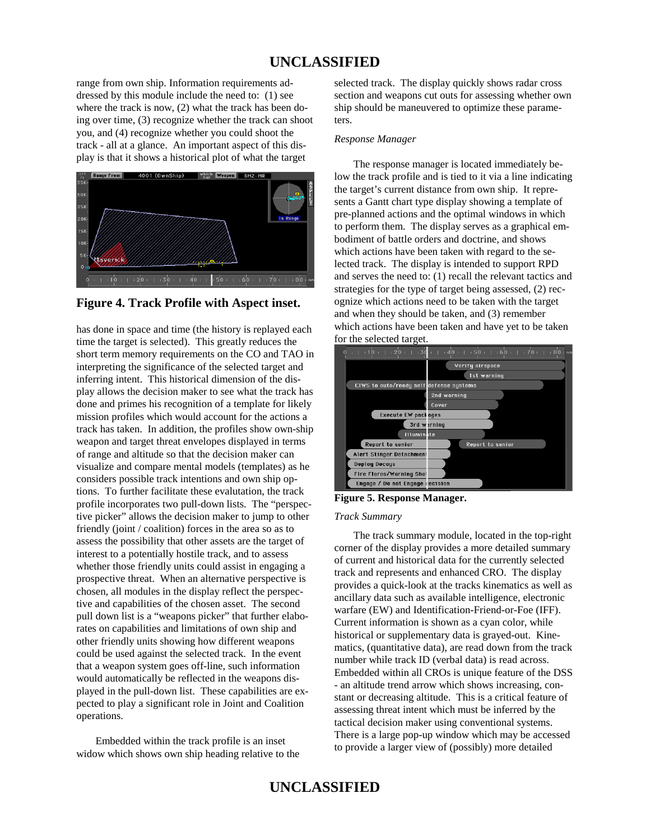range from own ship. Information requirements addressed by this module include the need to: (1) see where the track is now, (2) what the track has been doing over time, (3) recognize whether the track can shoot you, and (4) recognize whether you could shoot the track - all at a glance. An important aspect of this display is that it shows a historical plot of what the target



**Figure 4. Track Profile with Aspect inset.**

has done in space and time (the history is replayed each time the target is selected). This greatly reduces the short term memory requirements on the CO and TAO in interpreting the significance of the selected target and inferring intent. This historical dimension of the display allows the decision maker to see what the track has done and primes his recognition of a template for likely mission profiles which would account for the actions a track has taken. In addition, the profiles show own-ship weapon and target threat envelopes displayed in terms of range and altitude so that the decision maker can visualize and compare mental models (templates) as he considers possible track intentions and own ship options. To further facilitate these evalutation, the track profile incorporates two pull-down lists. The "perspective picker" allows the decision maker to jump to other friendly (joint / coalition) forces in the area so as to assess the possibility that other assets are the target of interest to a potentially hostile track, and to assess whether those friendly units could assist in engaging a prospective threat. When an alternative perspective is chosen, all modules in the display reflect the perspective and capabilities of the chosen asset. The second pull down list is a "weapons picker" that further elaborates on capabilities and limitations of own ship and other friendly units showing how different weapons could be used against the selected track. In the event that a weapon system goes off-line, such information would automatically be reflected in the weapons displayed in the pull-down list. These capabilities are expected to play a significant role in Joint and Coalition operations.

Embedded within the track profile is an inset widow which shows own ship heading relative to the selected track. The display quickly shows radar cross section and weapons cut outs for assessing whether own ship should be maneuvered to optimize these parameters.

#### *Response Manager*

The response manager is located immediately below the track profile and is tied to it via a line indicating the target's current distance from own ship. It represents a Gantt chart type display showing a template of pre-planned actions and the optimal windows in which to perform them. The display serves as a graphical embodiment of battle orders and doctrine, and shows which actions have been taken with regard to the selected track. The display is intended to support RPD and serves the need to: (1) recall the relevant tactics and strategies for the type of target being assessed, (2) recognize which actions need to be taken with the target and when they should be taken, and (3) remember which actions have been taken and have yet to be taken for the selected target.



**Figure 5. Response Manager.**

#### *Track Summary*

The track summary module, located in the top-right corner of the display provides a more detailed summary of current and historical data for the currently selected track and represents and enhanced CRO. The display provides a quick-look at the tracks kinematics as well as ancillary data such as available intelligence, electronic warfare (EW) and Identification-Friend-or-Foe (IFF). Current information is shown as a cyan color, while historical or supplementary data is grayed-out. Kinematics, (quantitative data), are read down from the track number while track ID (verbal data) is read across. Embedded within all CROs is unique feature of the DSS - an altitude trend arrow which shows increasing, constant or decreasing altitude. This is a critical feature of assessing threat intent which must be inferred by the tactical decision maker using conventional systems. There is a large pop-up window which may be accessed to provide a larger view of (possibly) more detailed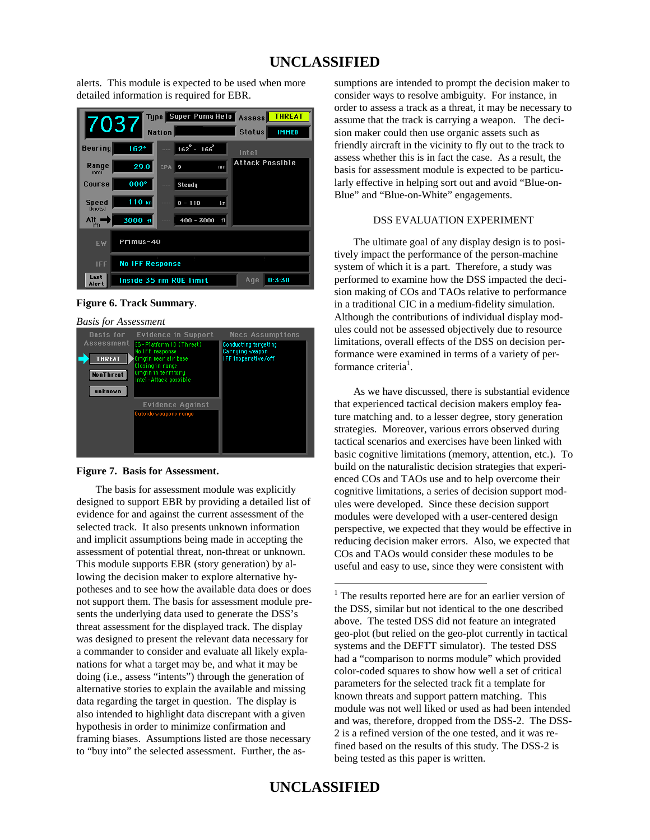alerts. This module is expected to be used when more detailed information is required for EBR.

| Super Puma Helo Assess<br><b>THREAT</b><br>Type<br>7037<br><b>Status</b><br><b>IMMED</b><br><b>Nation</b> |                                         |                               |                        |
|-----------------------------------------------------------------------------------------------------------|-----------------------------------------|-------------------------------|------------------------|
| <b>Bearing</b>                                                                                            | 162°                                    | $162^{\circ}$ - $166^{\circ}$ | Intel                  |
| Range<br>(nm)                                                                                             | 29.0                                    | <b>CPA</b><br>9<br>nm         | <b>Attack Possible</b> |
| Course                                                                                                    | 000°                                    | Steady                        |                        |
| <b>Speed</b><br>(knots)                                                                                   | 110 km                                  | $0 - 110$<br>kn               |                        |
| Alt i<br>(f <sub>t</sub> )                                                                                | 3000 ft                                 | $400 - 3000$<br>ft            |                        |
| EW.                                                                                                       | Primus-40                               |                               |                        |
| <b>IFF</b>                                                                                                | <b>No IFF Response</b>                  |                               |                        |
| Last<br>Alert                                                                                             | Inside 35 nm ROE limit<br>0:3:30<br>Age |                               |                        |

**Figure 6. Track Summary**.





**Figure 7. Basis for Assessment.**

The basis for assessment module was explicitly designed to support EBR by providing a detailed list of evidence for and against the current assessment of the selected track. It also presents unknown information and implicit assumptions being made in accepting the assessment of potential threat, non-threat or unknown. This module supports EBR (story generation) by allowing the decision maker to explore alternative hypotheses and to see how the available data does or does not support them. The basis for assessment module presents the underlying data used to generate the DSS's threat assessment for the displayed track. The display was designed to present the relevant data necessary for a commander to consider and evaluate all likely explanations for what a target may be, and what it may be doing (i.e., assess "intents") through the generation of alternative stories to explain the available and missing data regarding the target in question. The display is also intended to highlight data discrepant with a given hypothesis in order to minimize confirmation and framing biases. Assumptions listed are those necessary to "buy into" the selected assessment. Further, the assumptions are intended to prompt the decision maker to consider ways to resolve ambiguity. For instance, in order to assess a track as a threat, it may be necessary to assume that the track is carrying a weapon. The decision maker could then use organic assets such as friendly aircraft in the vicinity to fly out to the track to assess whether this is in fact the case. As a result, the basis for assessment module is expected to be particularly effective in helping sort out and avoid "Blue-on-Blue" and "Blue-on-White" engagements.

#### DSS EVALUATION EXPERIMENT

The ultimate goal of any display design is to positively impact the performance of the person-machine system of which it is a part. Therefore, a study was performed to examine how the DSS impacted the decision making of COs and TAOs relative to performance in a traditional CIC in a medium-fidelity simulation. Although the contributions of individual display modules could not be assessed objectively due to resource limitations, overall effects of the DSS on decision performance were examined in terms of a variety of performance criteria<sup>1</sup>.

As we have discussed, there is substantial evidence that experienced tactical decision makers employ feature matching and. to a lesser degree, story generation strategies. Moreover, various errors observed during tactical scenarios and exercises have been linked with basic cognitive limitations (memory, attention, etc.). To build on the naturalistic decision strategies that experienced COs and TAOs use and to help overcome their cognitive limitations, a series of decision support modules were developed. Since these decision support modules were developed with a user-centered design perspective, we expected that they would be effective in reducing decision maker errors. Also, we expected that COs and TAOs would consider these modules to be useful and easy to use, since they were consistent with

<sup>1</sup> The results reported here are for an earlier version of the DSS, similar but not identical to the one described above. The tested DSS did not feature an integrated geo-plot (but relied on the geo-plot currently in tactical systems and the DEFTT simulator). The tested DSS had a "comparison to norms module" which provided color-coded squares to show how well a set of critical parameters for the selected track fit a template for known threats and support pattern matching. This module was not well liked or used as had been intended and was, therefore, dropped from the DSS-2. The DSS-2 is a refined version of the one tested, and it was refined based on the results of this study. The DSS-2 is being tested as this paper is written.

 $\overline{a}$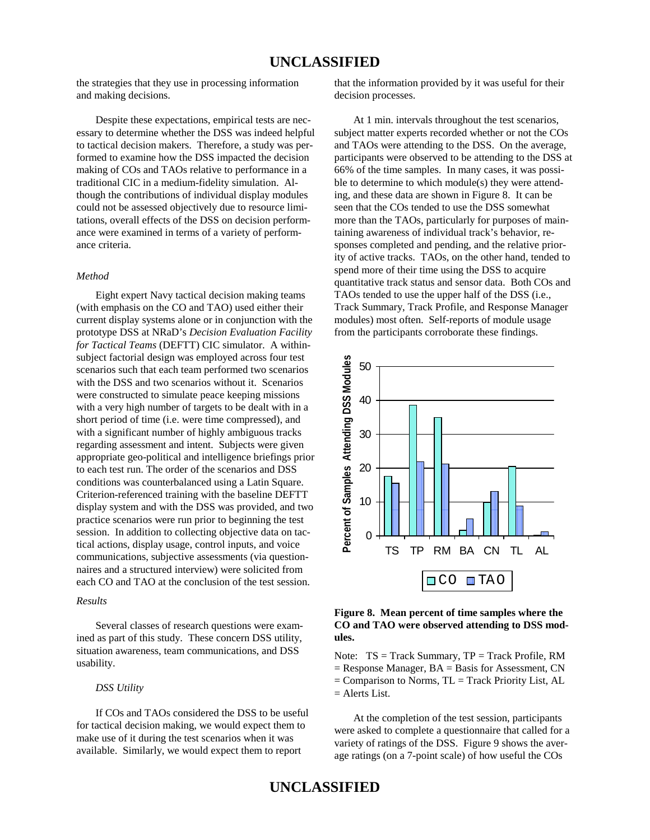the strategies that they use in processing information and making decisions.

Despite these expectations, empirical tests are necessary to determine whether the DSS was indeed helpful to tactical decision makers. Therefore, a study was performed to examine how the DSS impacted the decision making of COs and TAOs relative to performance in a traditional CIC in a medium-fidelity simulation. Although the contributions of individual display modules could not be assessed objectively due to resource limitations, overall effects of the DSS on decision performance were examined in terms of a variety of performance criteria.

#### *Method*

Eight expert Navy tactical decision making teams (with emphasis on the CO and TAO) used either their current display systems alone or in conjunction with the prototype DSS at NRaD's *Decision Evaluation Facility for Tactical Teams* (DEFTT) CIC simulator. A withinsubject factorial design was employed across four test scenarios such that each team performed two scenarios with the DSS and two scenarios without it. Scenarios were constructed to simulate peace keeping missions with a very high number of targets to be dealt with in a short period of time (i.e. were time compressed), and with a significant number of highly ambiguous tracks regarding assessment and intent. Subjects were given appropriate geo-political and intelligence briefings prior to each test run. The order of the scenarios and DSS conditions was counterbalanced using a Latin Square. Criterion-referenced training with the baseline DEFTT display system and with the DSS was provided, and two practice scenarios were run prior to beginning the test session. In addition to collecting objective data on tactical actions, display usage, control inputs, and voice communications, subjective assessments (via questionnaires and a structured interview) were solicited from each CO and TAO at the conclusion of the test session.

#### *Results*

Several classes of research questions were examined as part of this study. These concern DSS utility, situation awareness, team communications, and DSS usability.

#### *DSS Utility*

If COs and TAOs considered the DSS to be useful for tactical decision making, we would expect them to make use of it during the test scenarios when it was available. Similarly, we would expect them to report

that the information provided by it was useful for their decision processes.

At 1 min. intervals throughout the test scenarios, subject matter experts recorded whether or not the COs and TAOs were attending to the DSS. On the average, participants were observed to be attending to the DSS at 66% of the time samples. In many cases, it was possible to determine to which module(s) they were attending, and these data are shown in Figure 8. It can be seen that the COs tended to use the DSS somewhat more than the TAOs, particularly for purposes of maintaining awareness of individual track's behavior, responses completed and pending, and the relative priority of active tracks. TAOs, on the other hand, tended to spend more of their time using the DSS to acquire quantitative track status and sensor data. Both COs and TAOs tended to use the upper half of the DSS (i.e., Track Summary, Track Profile, and Response Manager modules) most often. Self-reports of module usage from the participants corroborate these findings.





Note: TS = Track Summary, TP = Track Profile, RM  $=$  Response Manager,  $BA =$ Basis for Assessment, CN  $=$  Comparison to Norms, TL  $=$  Track Priority List, AL  $=$  Alerts List.

At the completion of the test session, participants were asked to complete a questionnaire that called for a variety of ratings of the DSS. Figure 9 shows the average ratings (on a 7-point scale) of how useful the COs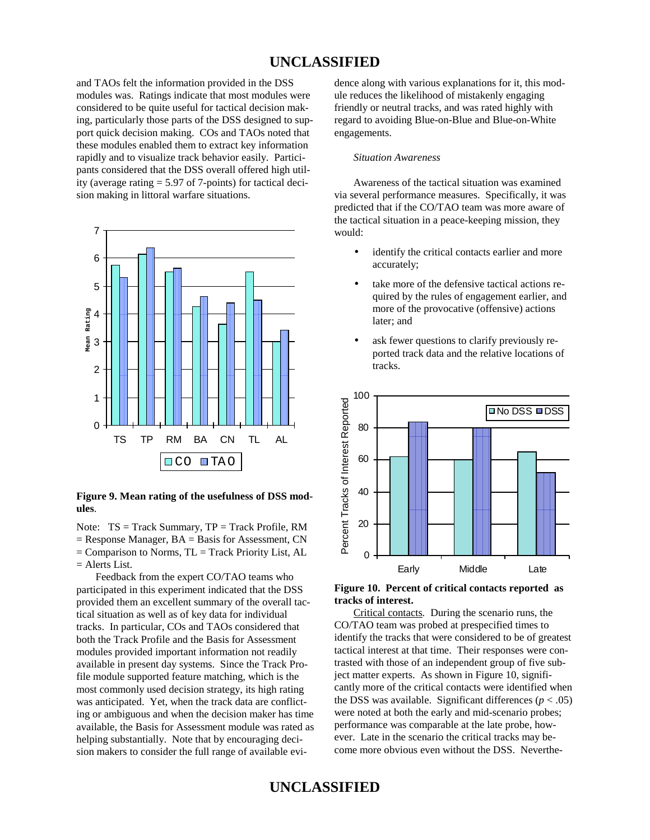and TAOs felt the information provided in the DSS modules was. Ratings indicate that most modules were considered to be quite useful for tactical decision making, particularly those parts of the DSS designed to support quick decision making. COs and TAOs noted that these modules enabled them to extract key information rapidly and to visualize track behavior easily. Participants considered that the DSS overall offered high utility (average rating = 5.97 of 7-points) for tactical decision making in littoral warfare situations.



#### **Figure 9. Mean rating of the usefulness of DSS modules**.

Note: TS = Track Summary, TP = Track Profile, RM  $=$  Response Manager,  $BA = Basis$  for Assessment, CN  $=$  Comparison to Norms,  $TL =$  Track Priority List, AL  $=$  Alerts List.

Feedback from the expert CO/TAO teams who participated in this experiment indicated that the DSS provided them an excellent summary of the overall tactical situation as well as of key data for individual tracks. In particular, COs and TAOs considered that both the Track Profile and the Basis for Assessment modules provided important information not readily available in present day systems. Since the Track Profile module supported feature matching, which is the most commonly used decision strategy, its high rating was anticipated. Yet, when the track data are conflicting or ambiguous and when the decision maker has time available, the Basis for Assessment module was rated as helping substantially. Note that by encouraging decision makers to consider the full range of available evidence along with various explanations for it, this module reduces the likelihood of mistakenly engaging friendly or neutral tracks, and was rated highly with regard to avoiding Blue-on-Blue and Blue-on-White engagements.

#### *Situation Awareness*

Awareness of the tactical situation was examined via several performance measures. Specifically, it was predicted that if the CO/TAO team was more aware of the tactical situation in a peace-keeping mission, they would:

- identify the critical contacts earlier and more accurately;
- take more of the defensive tactical actions required by the rules of engagement earlier, and more of the provocative (offensive) actions later; and
- ask fewer questions to clarify previously reported track data and the relative locations of tracks.



**Figure 10. Percent of critical contacts reported as tracks of interest.**

Critical contacts*.* During the scenario runs, the CO/TAO team was probed at prespecified times to identify the tracks that were considered to be of greatest tactical interest at that time. Their responses were contrasted with those of an independent group of five subject matter experts. As shown in Figure 10, significantly more of the critical contacts were identified when the DSS was available. Significant differences  $(p < .05)$ were noted at both the early and mid-scenario probes; performance was comparable at the late probe, however. Late in the scenario the critical tracks may become more obvious even without the DSS. Neverthe-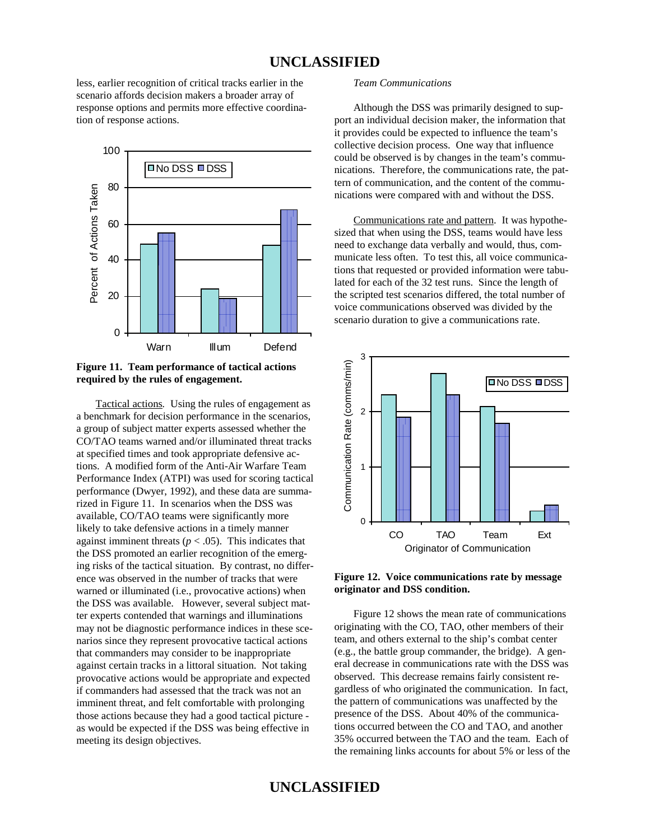less, earlier recognition of critical tracks earlier in the scenario affords decision makers a broader array of response options and permits more effective coordination of response actions.



**Figure 11. Team performance of tactical actions required by the rules of engagement.**

Tactical actions*.* Using the rules of engagement as a benchmark for decision performance in the scenarios, a group of subject matter experts assessed whether the CO/TAO teams warned and/or illuminated threat tracks at specified times and took appropriate defensive actions. A modified form of the Anti-Air Warfare Team Performance Index (ATPI) was used for scoring tactical performance (Dwyer, 1992), and these data are summarized in Figure 11. In scenarios when the DSS was available, CO/TAO teams were significantly more likely to take defensive actions in a timely manner against imminent threats  $(p < .05)$ . This indicates that the DSS promoted an earlier recognition of the emerging risks of the tactical situation. By contrast, no difference was observed in the number of tracks that were warned or illuminated (i.e., provocative actions) when the DSS was available. However, several subject matter experts contended that warnings and illuminations may not be diagnostic performance indices in these scenarios since they represent provocative tactical actions that commanders may consider to be inappropriate against certain tracks in a littoral situation. Not taking provocative actions would be appropriate and expected if commanders had assessed that the track was not an imminent threat, and felt comfortable with prolonging those actions because they had a good tactical picture as would be expected if the DSS was being effective in meeting its design objectives.

#### *Team Communications*

Although the DSS was primarily designed to support an individual decision maker, the information that it provides could be expected to influence the team's collective decision process. One way that influence could be observed is by changes in the team's communications. Therefore, the communications rate, the pattern of communication, and the content of the communications were compared with and without the DSS.

Communications rate and pattern. It was hypothesized that when using the DSS, teams would have less need to exchange data verbally and would, thus, communicate less often. To test this, all voice communications that requested or provided information were tabulated for each of the 32 test runs. Since the length of the scripted test scenarios differed, the total number of voice communications observed was divided by the scenario duration to give a communications rate.





Figure 12 shows the mean rate of communications originating with the CO, TAO, other members of their team, and others external to the ship's combat center (e.g., the battle group commander, the bridge). A general decrease in communications rate with the DSS was observed. This decrease remains fairly consistent regardless of who originated the communication. In fact, the pattern of communications was unaffected by the presence of the DSS. About 40% of the communications occurred between the CO and TAO, and another 35% occurred between the TAO and the team. Each of the remaining links accounts for about 5% or less of the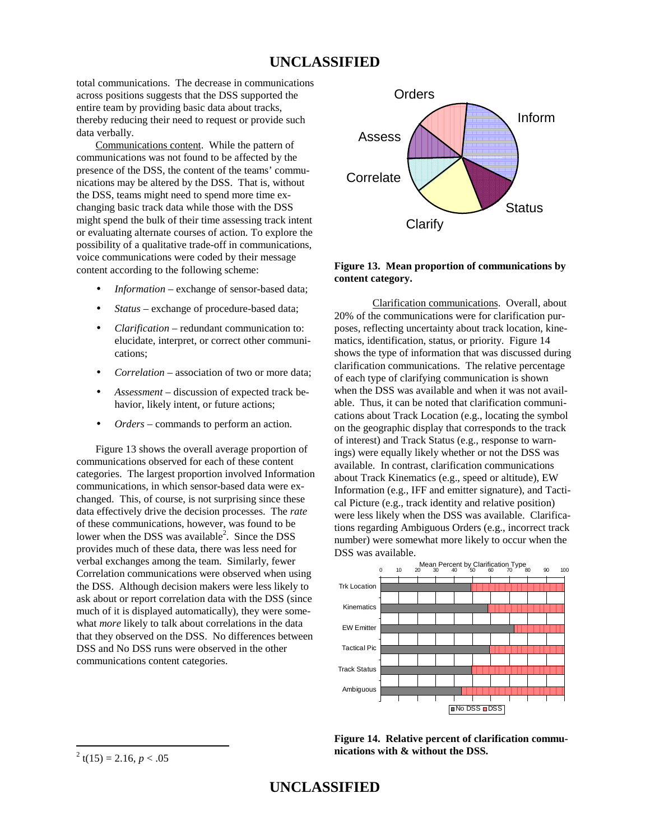total communications. The decrease in communications across positions suggests that the DSS supported the entire team by providing basic data about tracks, thereby reducing their need to request or provide such data verbally.

Communications content. While the pattern of communications was not found to be affected by the presence of the DSS, the content of the teams' communications may be altered by the DSS. That is, without the DSS, teams might need to spend more time exchanging basic track data while those with the DSS might spend the bulk of their time assessing track intent or evaluating alternate courses of action. To explore the possibility of a qualitative trade-off in communications, voice communications were coded by their message content according to the following scheme:

- *Information* exchange of sensor-based data;
- *Status* exchange of procedure-based data;
- *Clarification* redundant communication to: elucidate, interpret, or correct other communications;
- *Correlation* association of two or more data;
- *Assessment* discussion of expected track behavior, likely intent, or future actions;
- *Orders* commands to perform an action.

Figure 13 shows the overall average proportion of communications observed for each of these content categories. The largest proportion involved Information communications, in which sensor-based data were exchanged. This, of course, is not surprising since these data effectively drive the decision processes. The *rate* of these communications, however, was found to be lower when the DSS was available<sup>2</sup>. Since the DSS provides much of these data, there was less need for verbal exchanges among the team. Similarly, fewer Correlation communications were observed when using the DSS. Although decision makers were less likely to ask about or report correlation data with the DSS (since much of it is displayed automatically), they were somewhat *more* likely to talk about correlations in the data that they observed on the DSS. No differences between DSS and No DSS runs were observed in the other communications content categories.



#### **Figure 13. Mean proportion of communications by content category.**

Clarification communications. Overall, about 20% of the communications were for clarification purposes, reflecting uncertainty about track location, kinematics, identification, status, or priority. Figure 14 shows the type of information that was discussed during clarification communications. The relative percentage of each type of clarifying communication is shown when the DSS was available and when it was not available. Thus, it can be noted that clarification communications about Track Location (e.g., locating the symbol on the geographic display that corresponds to the track of interest) and Track Status (e.g., response to warnings) were equally likely whether or not the DSS was available. In contrast, clarification communications about Track Kinematics (e.g., speed or altitude), EW Information (e.g., IFF and emitter signature), and Tactical Picture (e.g., track identity and relative position) were less likely when the DSS was available. Clarifications regarding Ambiguous Orders (e.g., incorrect track number) were somewhat more likely to occur when the DSS was available.



**Figure 14. Relative percent of clarification communications with & without the DSS.**

 $x^2$  t(15) = 2.16, *p* < .05

 $\overline{a}$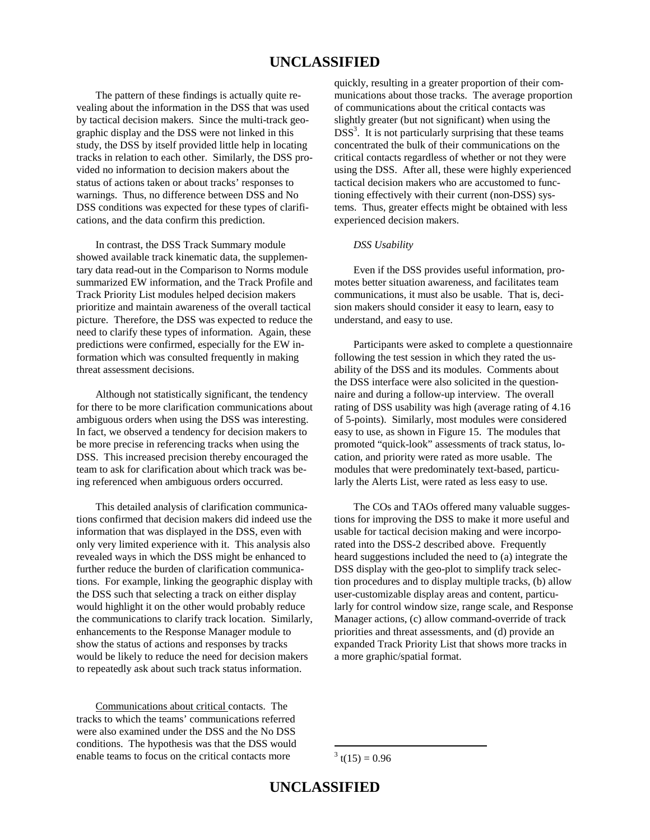The pattern of these findings is actually quite revealing about the information in the DSS that was used by tactical decision makers. Since the multi-track geographic display and the DSS were not linked in this study, the DSS by itself provided little help in locating tracks in relation to each other. Similarly, the DSS provided no information to decision makers about the status of actions taken or about tracks' responses to warnings. Thus, no difference between DSS and No DSS conditions was expected for these types of clarifications, and the data confirm this prediction.

In contrast, the DSS Track Summary module showed available track kinematic data, the supplementary data read-out in the Comparison to Norms module summarized EW information, and the Track Profile and Track Priority List modules helped decision makers prioritize and maintain awareness of the overall tactical picture. Therefore, the DSS was expected to reduce the need to clarify these types of information. Again, these predictions were confirmed, especially for the EW information which was consulted frequently in making threat assessment decisions.

Although not statistically significant, the tendency for there to be more clarification communications about ambiguous orders when using the DSS was interesting. In fact, we observed a tendency for decision makers to be more precise in referencing tracks when using the DSS. This increased precision thereby encouraged the team to ask for clarification about which track was being referenced when ambiguous orders occurred.

This detailed analysis of clarification communications confirmed that decision makers did indeed use the information that was displayed in the DSS, even with only very limited experience with it. This analysis also revealed ways in which the DSS might be enhanced to further reduce the burden of clarification communications. For example, linking the geographic display with the DSS such that selecting a track on either display would highlight it on the other would probably reduce the communications to clarify track location. Similarly, enhancements to the Response Manager module to show the status of actions and responses by tracks would be likely to reduce the need for decision makers to repeatedly ask about such track status information.

Communications about critical contacts. The tracks to which the teams' communications referred were also examined under the DSS and the No DSS conditions. The hypothesis was that the DSS would enable teams to focus on the critical contacts more

quickly, resulting in a greater proportion of their communications about those tracks. The average proportion of communications about the critical contacts was slightly greater (but not significant) when using the  $DSS<sup>3</sup>$ . It is not particularly surprising that these teams concentrated the bulk of their communications on the critical contacts regardless of whether or not they were using the DSS. After all, these were highly experienced tactical decision makers who are accustomed to functioning effectively with their current (non-DSS) systems. Thus, greater effects might be obtained with less experienced decision makers.

#### *DSS Usability*

Even if the DSS provides useful information, promotes better situation awareness, and facilitates team communications, it must also be usable. That is, decision makers should consider it easy to learn, easy to understand, and easy to use.

Participants were asked to complete a questionnaire following the test session in which they rated the usability of the DSS and its modules. Comments about the DSS interface were also solicited in the questionnaire and during a follow-up interview. The overall rating of DSS usability was high (average rating of 4.16 of 5-points). Similarly, most modules were considered easy to use, as shown in Figure 15. The modules that promoted "quick-look" assessments of track status, location, and priority were rated as more usable. The modules that were predominately text-based, particularly the Alerts List, were rated as less easy to use.

The COs and TAOs offered many valuable suggestions for improving the DSS to make it more useful and usable for tactical decision making and were incorporated into the DSS-2 described above. Frequently heard suggestions included the need to (a) integrate the DSS display with the geo-plot to simplify track selection procedures and to display multiple tracks, (b) allow user-customizable display areas and content, particularly for control window size, range scale, and Response Manager actions, (c) allow command-override of track priorities and threat assessments, and (d) provide an expanded Track Priority List that shows more tracks in a more graphic/spatial format.

 $3$  t(15) = 0.96

## **UNCLASSIFIED**

 $\overline{a}$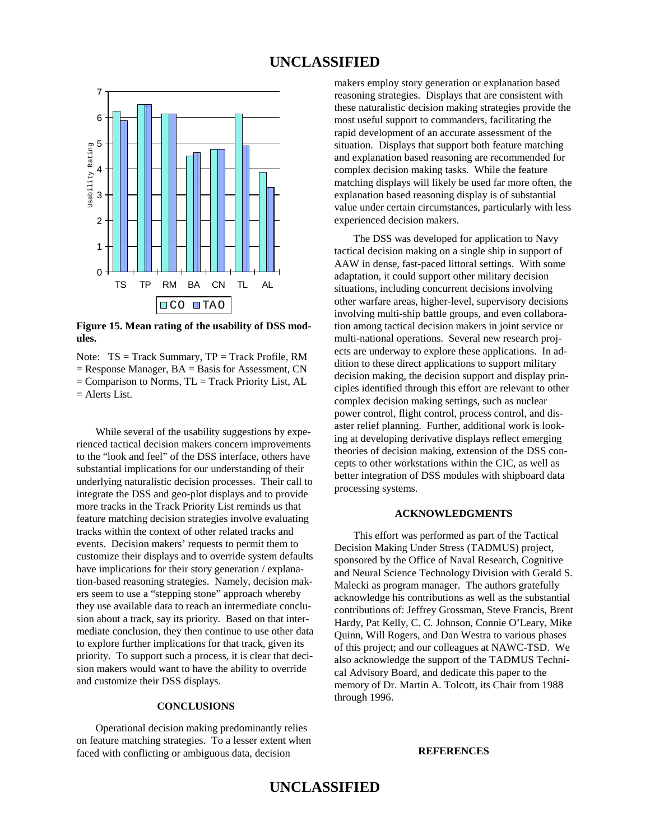

**Figure 15. Mean rating of the usability of DSS modules.**

Note: TS = Track Summary, TP = Track Profile, RM  $=$  Response Manager,  $BA =$ Basis for Assessment, CN  $=$  Comparison to Norms,  $TL =$  Track Priority List, AL  $=$  Alerts List.

While several of the usability suggestions by experienced tactical decision makers concern improvements to the "look and feel" of the DSS interface, others have substantial implications for our understanding of their underlying naturalistic decision processes. Their call to integrate the DSS and geo-plot displays and to provide more tracks in the Track Priority List reminds us that feature matching decision strategies involve evaluating tracks within the context of other related tracks and events. Decision makers' requests to permit them to customize their displays and to override system defaults have implications for their story generation / explanation-based reasoning strategies. Namely, decision makers seem to use a "stepping stone" approach whereby they use available data to reach an intermediate conclusion about a track, say its priority. Based on that intermediate conclusion, they then continue to use other data to explore further implications for that track, given its priority. To support such a process, it is clear that decision makers would want to have the ability to override and customize their DSS displays.

#### **CONCLUSIONS**

Operational decision making predominantly relies on feature matching strategies. To a lesser extent when faced with conflicting or ambiguous data, decision

makers employ story generation or explanation based reasoning strategies. Displays that are consistent with these naturalistic decision making strategies provide the most useful support to commanders, facilitating the rapid development of an accurate assessment of the situation. Displays that support both feature matching and explanation based reasoning are recommended for complex decision making tasks. While the feature matching displays will likely be used far more often, the explanation based reasoning display is of substantial value under certain circumstances, particularly with less experienced decision makers.

The DSS was developed for application to Navy tactical decision making on a single ship in support of AAW in dense, fast-paced littoral settings. With some adaptation, it could support other military decision situations, including concurrent decisions involving other warfare areas, higher-level, supervisory decisions involving multi-ship battle groups, and even collaboration among tactical decision makers in joint service or multi-national operations. Several new research projects are underway to explore these applications. In addition to these direct applications to support military decision making, the decision support and display principles identified through this effort are relevant to other complex decision making settings, such as nuclear power control, flight control, process control, and disaster relief planning. Further, additional work is looking at developing derivative displays reflect emerging theories of decision making, extension of the DSS concepts to other workstations within the CIC, as well as better integration of DSS modules with shipboard data processing systems.

#### **ACKNOWLEDGMENTS**

This effort was performed as part of the Tactical Decision Making Under Stress (TADMUS) project, sponsored by the Office of Naval Research, Cognitive and Neural Science Technology Division with Gerald S. Malecki as program manager. The authors gratefully acknowledge his contributions as well as the substantial contributions of: Jeffrey Grossman, Steve Francis, Brent Hardy, Pat Kelly, C. C. Johnson, Connie O'Leary, Mike Quinn, Will Rogers, and Dan Westra to various phases of this project; and our colleagues at NAWC-TSD. We also acknowledge the support of the TADMUS Technical Advisory Board, and dedicate this paper to the memory of Dr. Martin A. Tolcott, its Chair from 1988 through 1996.

#### **REFERENCES**